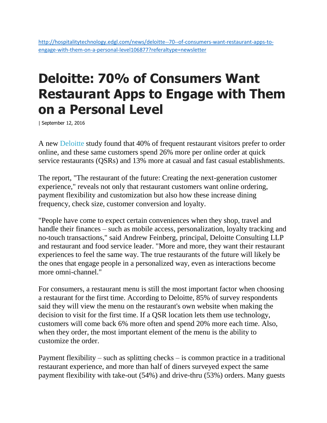## **Deloitte: 70% of Consumers Want Restaurant Apps to Engage with Them on a Personal Level**

| September 12, 2016

A new [Deloitte](http://www2.deloitte.com/us/en.html) study found that 40% of frequent restaurant visitors prefer to order online, and these same customers spend 26% more per online order at quick service restaurants (QSRs) and 13% more at casual and fast casual establishments.

The report, "The restaurant of the future: Creating the next-generation customer experience," reveals not only that restaurant customers want online ordering, payment flexibility and customization but also how these increase dining frequency, check size, customer conversion and loyalty.

"People have come to expect certain conveniences when they shop, travel and handle their finances – such as mobile access, personalization, loyalty tracking and no-touch transactions," said Andrew Feinberg, principal, Deloitte Consulting LLP and restaurant and food service leader. "More and more, they want their restaurant experiences to feel the same way. The true restaurants of the future will likely be the ones that engage people in a personalized way, even as interactions become more omni-channel."

For consumers, a restaurant menu is still the most important factor when choosing a restaurant for the first time. According to Deloitte, 85% of survey respondents said they will view the menu on the restaurant's own website when making the decision to visit for the first time. If a QSR location lets them use technology, customers will come back 6% more often and spend 20% more each time. Also, when they order, the most important element of the menu is the ability to customize the order.

Payment flexibility – such as splitting checks – is common practice in a traditional restaurant experience, and more than half of diners surveyed expect the same payment flexibility with take-out (54%) and drive-thru (53%) orders. Many guests